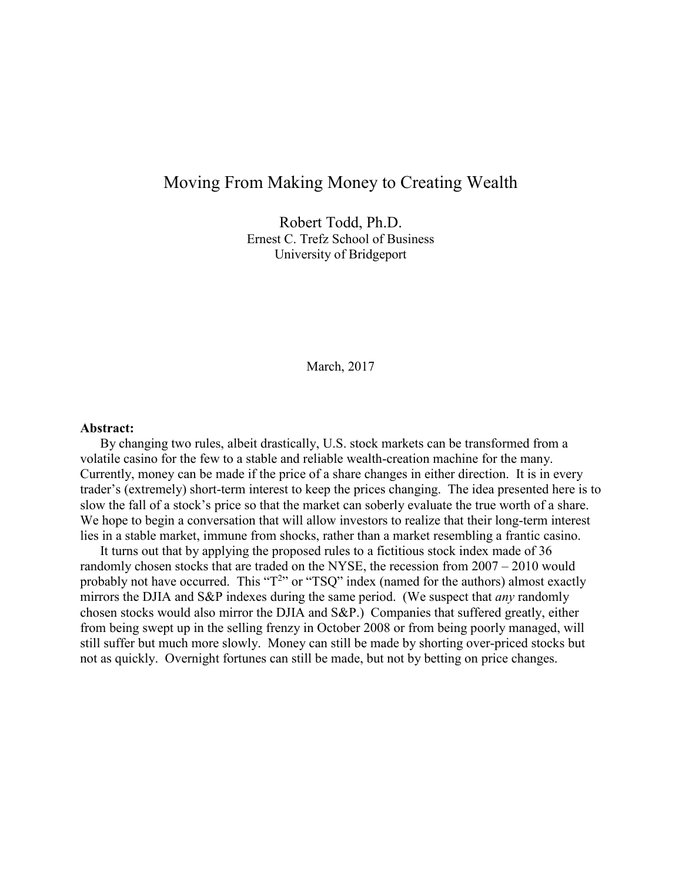# Moving From Making Money to Creating Wealth

Robert Todd, Ph.D. Ernest C. Trefz School of Business University of Bridgeport

March, 2017

#### **Abstract:**

By changing two rules, albeit drastically, U.S. stock markets can be transformed from a volatile casino for the few to a stable and reliable wealth-creation machine for the many. Currently, money can be made if the price of a share changes in either direction. It is in every trader's (extremely) short-term interest to keep the prices changing. The idea presented here is to slow the fall of a stock's price so that the market can soberly evaluate the true worth of a share. We hope to begin a conversation that will allow investors to realize that their long-term interest lies in a stable market, immune from shocks, rather than a market resembling a frantic casino.

It turns out that by applying the proposed rules to a fictitious stock index made of 36 randomly chosen stocks that are traded on the NYSE, the recession from 2007 – 2010 would probably not have occurred. This " $T^{2}$ " or "TSQ" index (named for the authors) almost exactly mirrors the DJIA and S&P indexes during the same period. (We suspect that *any* randomly chosen stocks would also mirror the DJIA and S&P.) Companies that suffered greatly, either from being swept up in the selling frenzy in October 2008 or from being poorly managed, will still suffer but much more slowly. Money can still be made by shorting over-priced stocks but not as quickly. Overnight fortunes can still be made, but not by betting on price changes.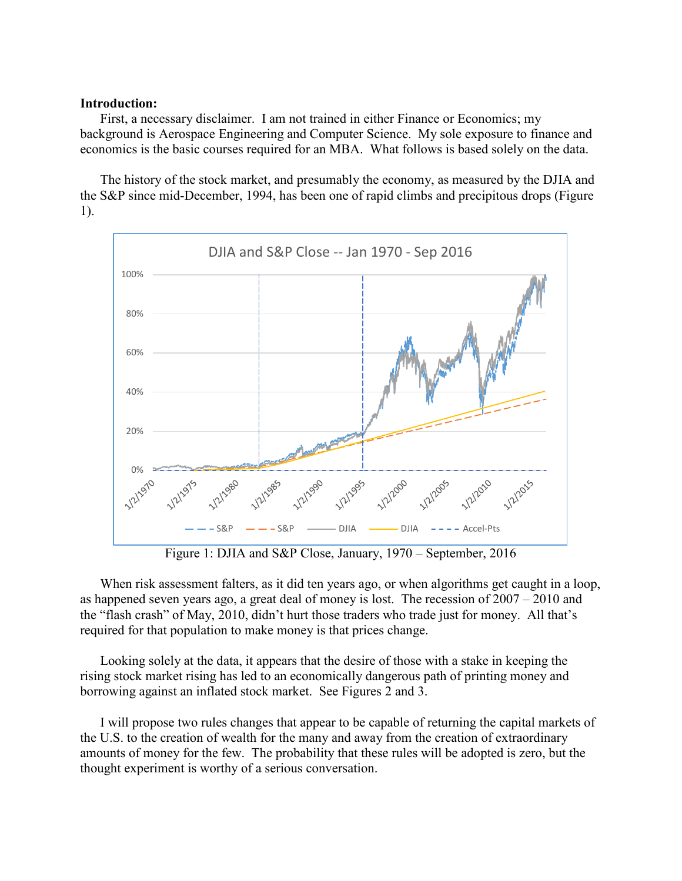#### **Introduction:**

First, a necessary disclaimer. I am not trained in either Finance or Economics; my background is Aerospace Engineering and Computer Science. My sole exposure to finance and economics is the basic courses required for an MBA. What follows is based solely on the data.

The history of the stock market, and presumably the economy, as measured by the DJIA and the S&P since mid-December, 1994, has been one of rapid climbs and precipitous drops (Figure 1).



Figure 1: DJIA and S&P Close, January, 1970 – September, 2016

When risk assessment falters, as it did ten years ago, or when algorithms get caught in a loop, as happened seven years ago, a great deal of money is lost. The recession of 2007 – 2010 and the "flash crash" of May, 2010, didn't hurt those traders who trade just for money. All that's required for that population to make money is that prices change.

Looking solely at the data, it appears that the desire of those with a stake in keeping the rising stock market rising has led to an economically dangerous path of printing money and borrowing against an inflated stock market. See Figures 2 and 3.

I will propose two rules changes that appear to be capable of returning the capital markets of the U.S. to the creation of wealth for the many and away from the creation of extraordinary amounts of money for the few. The probability that these rules will be adopted is zero, but the thought experiment is worthy of a serious conversation.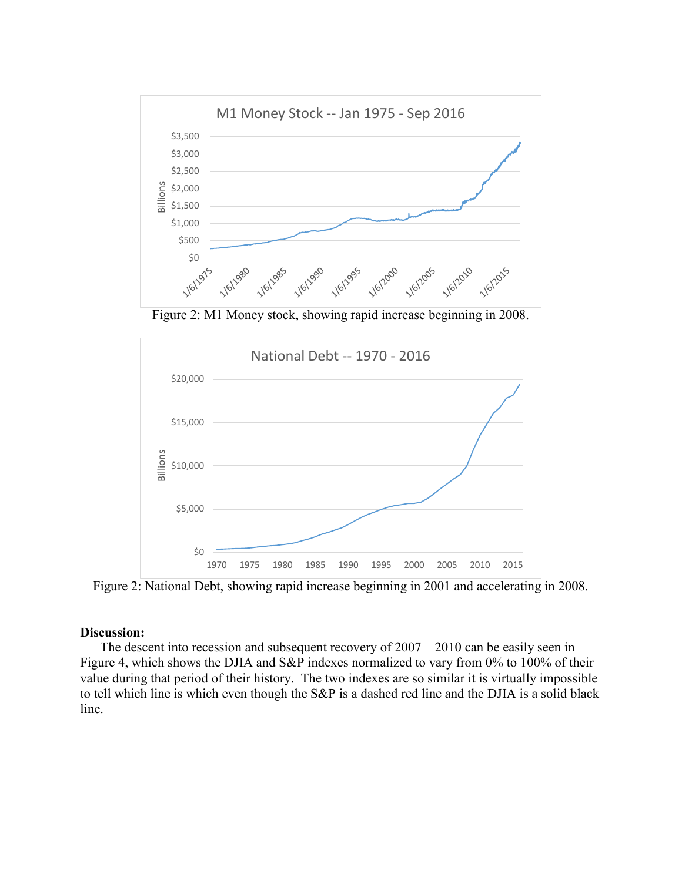

Figure 2: M1 Money stock, showing rapid increase beginning in 2008.



Figure 2: National Debt, showing rapid increase beginning in 2001 and accelerating in 2008.

### **Discussion:**

The descent into recession and subsequent recovery of 2007 – 2010 can be easily seen in Figure 4, which shows the DJIA and S&P indexes normalized to vary from 0% to 100% of their value during that period of their history. The two indexes are so similar it is virtually impossible to tell which line is which even though the S&P is a dashed red line and the DJIA is a solid black line.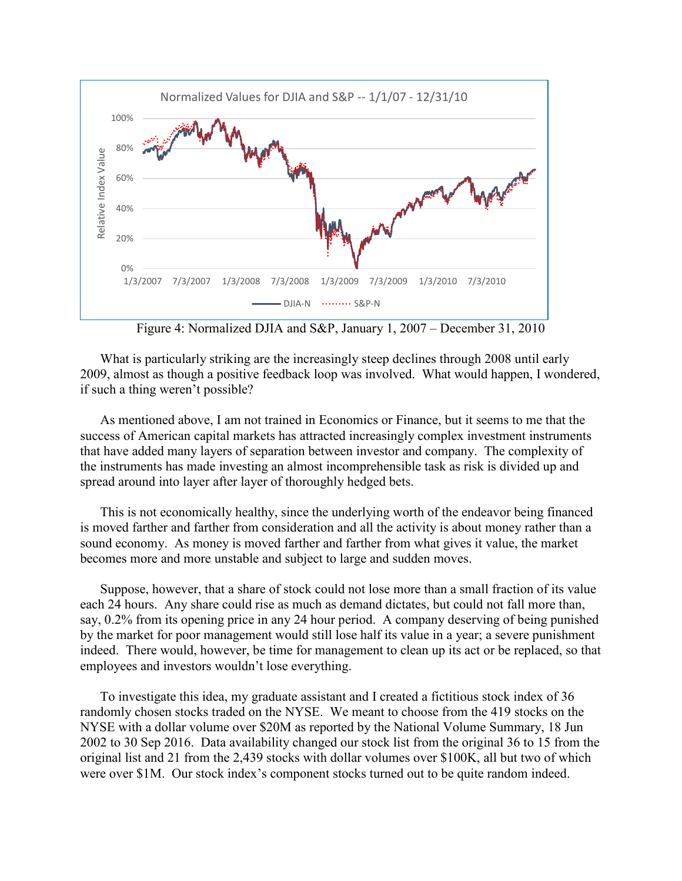

Figure 4: Normalized DJIA and S&P, January 1, 2007 – December 31, 2010

What is particularly striking are the increasingly steep declines through 2008 until early 2009, almost as though a positive feedback loop was involved. What would happen, I wondered, if such a thing weren't possible?

As mentioned above, I am not trained in Economics or Finance, but it seems to me that the success of American capital markets has attracted increasingly complex investment instruments that have added many layers of separation between investor and company. The complexity of the instruments has made investing an almost incomprehensible task as risk is divided up and spread around into layer after layer of thoroughly hedged bets.

This is not economically healthy, since the underlying worth of the endeavor being financed is moved farther and farther from consideration and all the activity is about money rather than a sound economy. As money is moved farther and farther from what gives it value, the market becomes more and more unstable and subject to large and sudden moves.

Suppose, however, that a share of stock could not lose more than a small fraction of its value each 24 hours. Any share could rise as much as demand dictates, but could not fall more than, say, 0.2% from its opening price in any 24 hour period. A company deserving of being punished by the market for poor management would still lose half its value in a year; a severe punishment indeed. There would, however, be time for management to clean up its act or be replaced, so that employees and investors wouldn't lose everything.

To investigate this idea, my graduate assistant and I created a fictitious stock index of 36 randomly chosen stocks traded on the NYSE. We meant to choose from the 419 stocks on the NYSE with a dollar volume over \$20M as reported by the National Volume Summary, 18 Jun 2002 to 30 Sep 2016. Data availability changed our stock list from the original 36 to 15 from the original list and 21 from the 2,439 stocks with dollar volumes over \$100K, all but two of which were over \$1M. Our stock index's component stocks turned out to be quite random indeed.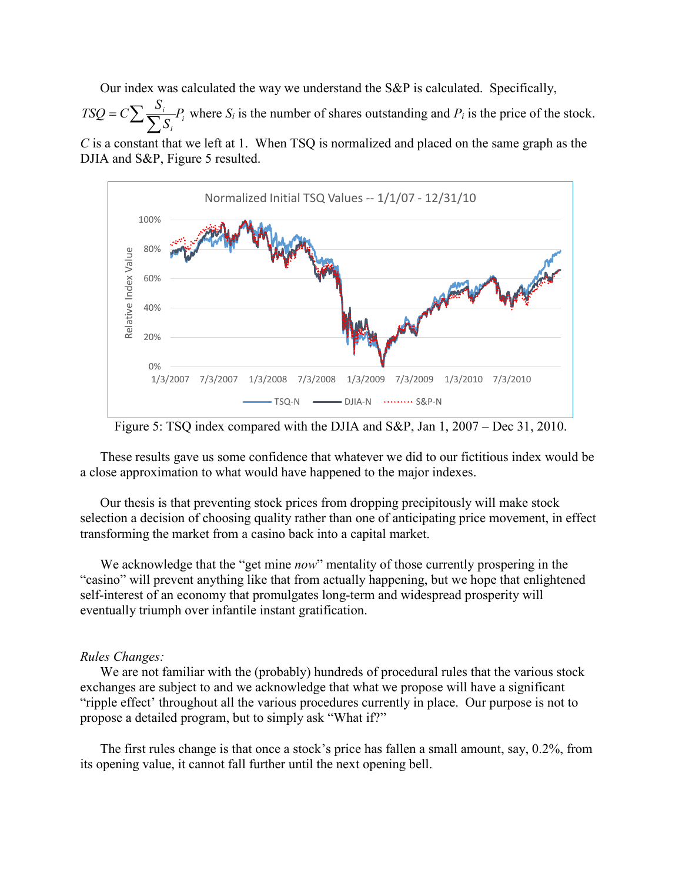Our index was calculated the way we understand the S&P is calculated. Specifically,

*i i*  $\frac{i}{2}P_i$ *TSQ* =  $C\sum_{i} \frac{S_i}{\sum_{i} S_i} P_i$  where  $S_i$  is the number of shares outstanding and  $P_i$  is the price of the stock. *C* is a constant that we left at 1. When TSQ is normalized and placed on the same graph as the DJIA and S&P, Figure 5 resulted.



Figure 5: TSQ index compared with the DJIA and S&P, Jan 1, 2007 – Dec 31, 2010.

These results gave us some confidence that whatever we did to our fictitious index would be a close approximation to what would have happened to the major indexes.

Our thesis is that preventing stock prices from dropping precipitously will make stock selection a decision of choosing quality rather than one of anticipating price movement, in effect transforming the market from a casino back into a capital market.

We acknowledge that the "get mine *now*" mentality of those currently prospering in the "casino" will prevent anything like that from actually happening, but we hope that enlightened self-interest of an economy that promulgates long-term and widespread prosperity will eventually triumph over infantile instant gratification.

## *Rules Changes:*

We are not familiar with the (probably) hundreds of procedural rules that the various stock exchanges are subject to and we acknowledge that what we propose will have a significant "ripple effect' throughout all the various procedures currently in place. Our purpose is not to propose a detailed program, but to simply ask "What if?"

The first rules change is that once a stock's price has fallen a small amount, say, 0.2%, from its opening value, it cannot fall further until the next opening bell.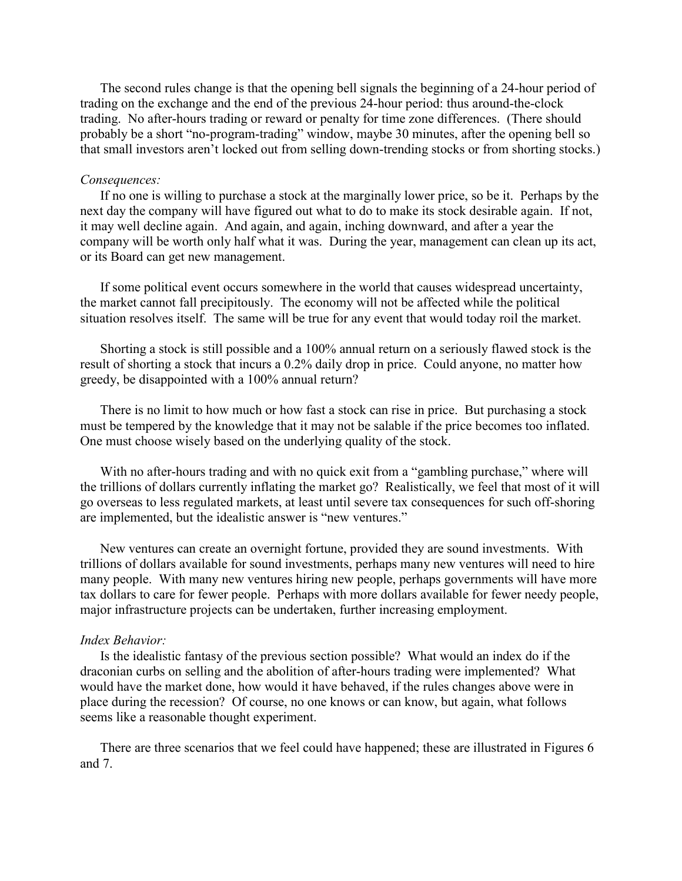The second rules change is that the opening bell signals the beginning of a 24-hour period of trading on the exchange and the end of the previous 24-hour period: thus around-the-clock trading. No after-hours trading or reward or penalty for time zone differences. (There should probably be a short "no-program-trading" window, maybe 30 minutes, after the opening bell so that small investors aren't locked out from selling down-trending stocks or from shorting stocks.)

#### *Consequences:*

If no one is willing to purchase a stock at the marginally lower price, so be it. Perhaps by the next day the company will have figured out what to do to make its stock desirable again. If not, it may well decline again. And again, and again, inching downward, and after a year the company will be worth only half what it was. During the year, management can clean up its act, or its Board can get new management.

If some political event occurs somewhere in the world that causes widespread uncertainty, the market cannot fall precipitously. The economy will not be affected while the political situation resolves itself. The same will be true for any event that would today roil the market.

Shorting a stock is still possible and a 100% annual return on a seriously flawed stock is the result of shorting a stock that incurs a 0.2% daily drop in price. Could anyone, no matter how greedy, be disappointed with a 100% annual return?

There is no limit to how much or how fast a stock can rise in price. But purchasing a stock must be tempered by the knowledge that it may not be salable if the price becomes too inflated. One must choose wisely based on the underlying quality of the stock.

With no after-hours trading and with no quick exit from a "gambling purchase," where will the trillions of dollars currently inflating the market go? Realistically, we feel that most of it will go overseas to less regulated markets, at least until severe tax consequences for such off-shoring are implemented, but the idealistic answer is "new ventures."

New ventures can create an overnight fortune, provided they are sound investments. With trillions of dollars available for sound investments, perhaps many new ventures will need to hire many people. With many new ventures hiring new people, perhaps governments will have more tax dollars to care for fewer people. Perhaps with more dollars available for fewer needy people, major infrastructure projects can be undertaken, further increasing employment.

#### *Index Behavior:*

Is the idealistic fantasy of the previous section possible? What would an index do if the draconian curbs on selling and the abolition of after-hours trading were implemented? What would have the market done, how would it have behaved, if the rules changes above were in place during the recession? Of course, no one knows or can know, but again, what follows seems like a reasonable thought experiment.

There are three scenarios that we feel could have happened; these are illustrated in Figures 6 and 7.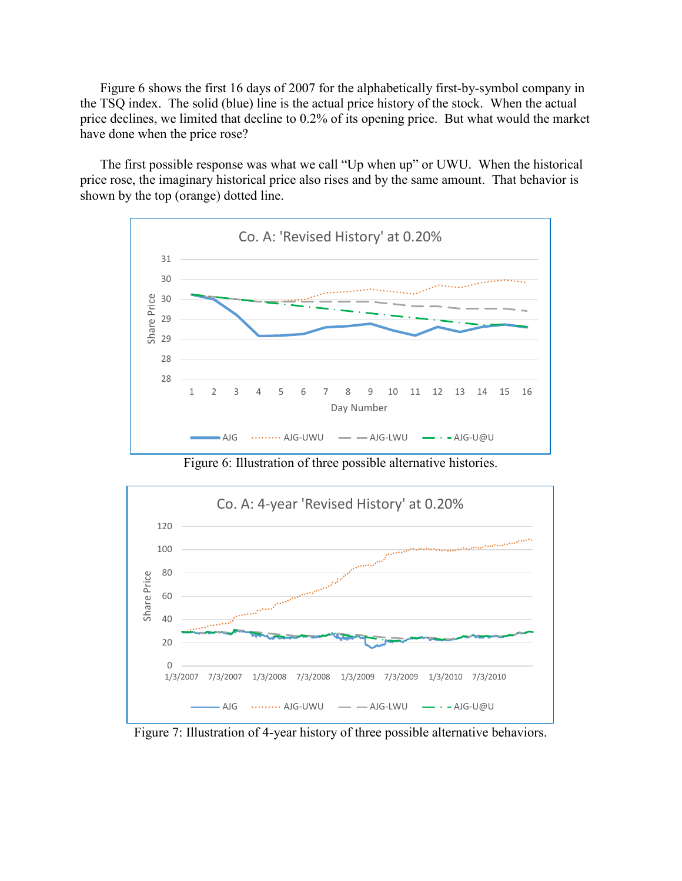Figure 6 shows the first 16 days of 2007 for the alphabetically first-by-symbol company in the TSQ index. The solid (blue) line is the actual price history of the stock. When the actual price declines, we limited that decline to 0.2% of its opening price. But what would the market have done when the price rose?

The first possible response was what we call "Up when up" or UWU. When the historical price rose, the imaginary historical price also rises and by the same amount. That behavior is shown by the top (orange) dotted line.



Figure 6: Illustration of three possible alternative histories.



Figure 7: Illustration of 4-year history of three possible alternative behaviors.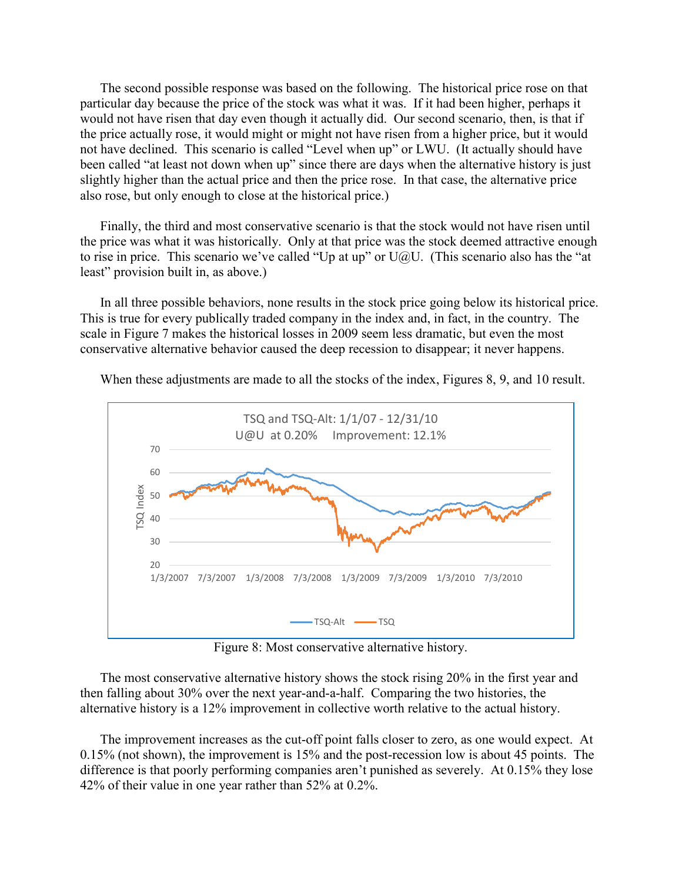The second possible response was based on the following. The historical price rose on that particular day because the price of the stock was what it was. If it had been higher, perhaps it would not have risen that day even though it actually did. Our second scenario, then, is that if the price actually rose, it would might or might not have risen from a higher price, but it would not have declined. This scenario is called "Level when up" or LWU. (It actually should have been called "at least not down when up" since there are days when the alternative history is just slightly higher than the actual price and then the price rose. In that case, the alternative price also rose, but only enough to close at the historical price.)

Finally, the third and most conservative scenario is that the stock would not have risen until the price was what it was historically. Only at that price was the stock deemed attractive enough to rise in price. This scenario we've called "Up at up" or  $U@U$ . (This scenario also has the "at least" provision built in, as above.)

In all three possible behaviors, none results in the stock price going below its historical price. This is true for every publically traded company in the index and, in fact, in the country. The scale in Figure 7 makes the historical losses in 2009 seem less dramatic, but even the most conservative alternative behavior caused the deep recession to disappear; it never happens.

When these adjustments are made to all the stocks of the index, Figures 8, 9, and 10 result.



Figure 8: Most conservative alternative history.

The most conservative alternative history shows the stock rising 20% in the first year and then falling about 30% over the next year-and-a-half. Comparing the two histories, the alternative history is a 12% improvement in collective worth relative to the actual history.

The improvement increases as the cut-off point falls closer to zero, as one would expect. At 0.15% (not shown), the improvement is 15% and the post-recession low is about 45 points. The difference is that poorly performing companies aren't punished as severely. At 0.15% they lose 42% of their value in one year rather than 52% at 0.2%.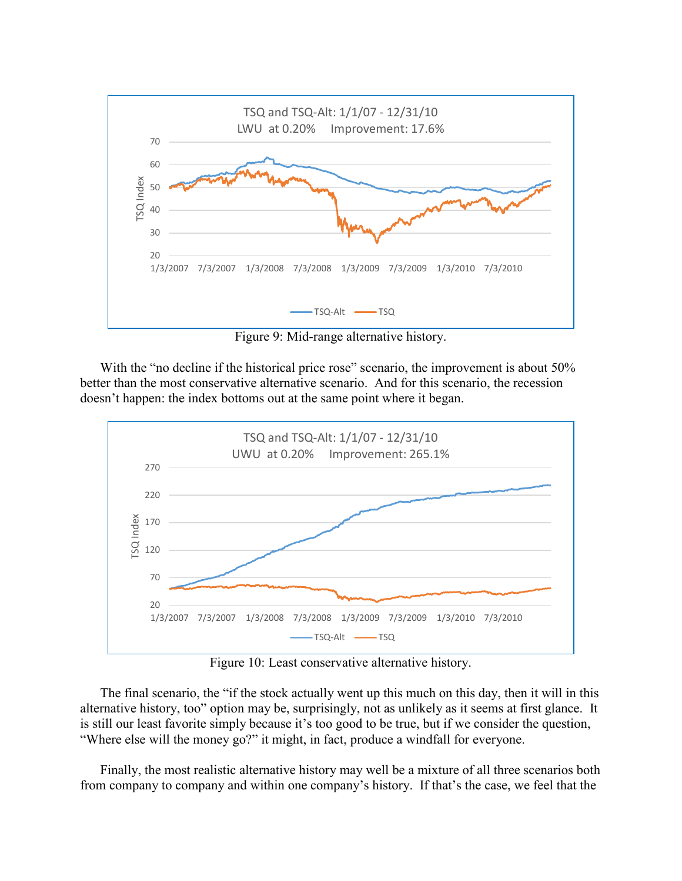

Figure 9: Mid-range alternative history.

With the "no decline if the historical price rose" scenario, the improvement is about 50% better than the most conservative alternative scenario. And for this scenario, the recession doesn't happen: the index bottoms out at the same point where it began.



Figure 10: Least conservative alternative history.

The final scenario, the "if the stock actually went up this much on this day, then it will in this alternative history, too" option may be, surprisingly, not as unlikely as it seems at first glance. It is still our least favorite simply because it's too good to be true, but if we consider the question, "Where else will the money go?" it might, in fact, produce a windfall for everyone.

Finally, the most realistic alternative history may well be a mixture of all three scenarios both from company to company and within one company's history. If that's the case, we feel that the